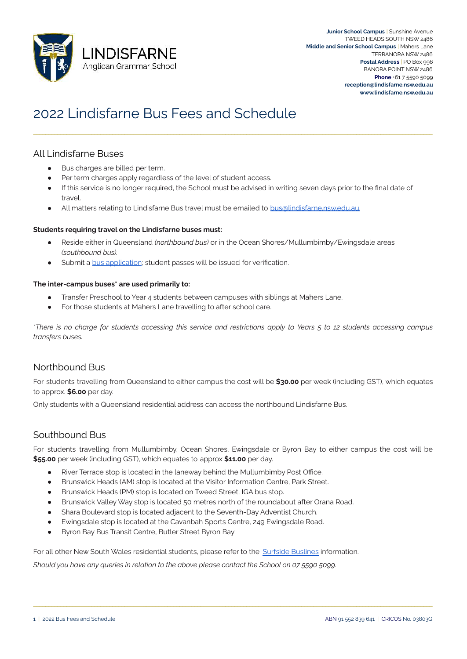

# 2022 Lindisfarne Bus Fees and Schedule

## All Lindisfarne Buses

- Bus charges are billed per term.
- Per term charges apply regardless of the level of student access.
- If this service is no longer required, the School must be advised in writing seven days prior to the final date of travel.

\_\_\_\_\_\_\_\_\_\_\_\_\_\_\_\_\_\_\_\_\_\_\_\_\_\_\_\_\_\_\_\_\_\_\_\_\_\_\_\_\_\_\_\_\_\_\_\_\_\_\_\_\_\_\_\_\_\_\_\_\_\_\_\_\_\_\_\_\_\_\_\_\_\_\_\_\_\_\_\_\_\_\_\_\_\_\_\_\_\_\_\_\_\_\_\_\_\_\_\_\_\_\_\_\_\_\_\_\_\_\_\_\_\_\_\_\_\_\_\_\_\_\_\_\_\_\_\_\_\_\_

All matters relating to Lindisfarne Bus travel must be emailed to [bus@lindisfarne.nsw.edu.au.](mailto:bus@lindisfarne.nsw.edu.au)

#### **Students requiring travel on the Lindisfarne buses must:**

- Reside either in Queensland *(northbound bus)* or in the Ocean Shores/Mullumbimby/Ewingsdale areas *(southbound bus).*
- Submit a [bus application;](https://docs.google.com/forms/d/e/1FAIpQLSfArNvem9wSTT0tDs671fY4VUZIXED7XzE7M7QBVMxiTUpNGg/viewform) student passes will be issued for verification.

#### **The inter-campus buses\* are used primarily to:**

- Transfer Preschool to Year 4 students between campuses with siblings at Mahers Lane.
- For those students at Mahers Lane travelling to after school care.

*\*There is no charge for students accessing this service and restrictions apply to Years 5 to 12 students accessing campus transfers buses.*

### Northbound Bus

For students travelling from Queensland to either campus the cost will be **\$30.00** per week (including GST), which equates to approx. **\$6.00** per day.

Only students with a Queensland residential address can access the northbound Lindisfarne Bus.

## Southbound Bus

For students travelling from Mullumbimby, Ocean Shores, Ewingsdale or Byron Bay to either campus the cost will be **\$55.00** per week (including GST), which equates to approx **\$11.00** per day.

\_\_\_\_\_\_\_\_\_\_\_\_\_\_\_\_\_\_\_\_\_\_\_\_\_\_\_\_\_\_\_\_\_\_\_\_\_\_\_\_\_\_\_\_\_\_\_\_\_\_\_\_\_\_\_\_\_\_\_\_\_\_\_\_\_\_\_\_\_\_\_\_\_\_\_\_\_\_\_\_\_\_\_\_\_\_\_\_\_\_\_\_\_\_\_\_\_\_\_\_\_\_\_\_\_\_\_\_\_\_\_\_\_\_\_\_\_\_\_\_\_\_\_\_\_\_\_\_\_\_\_

- River Terrace stop is located in the laneway behind the Mullumbimby Post Office.
- Brunswick Heads (AM) stop is located at the Visitor Information Centre, Park Street.
- Brunswick Heads (PM) stop is located on Tweed Street, IGA bus stop.
- Brunswick Valley Way stop is located 50 metres north of the roundabout after Orana Road.
- Shara Boulevard stop is located adjacent to the Seventh-Day Adventist Church.
- Ewingsdale stop is located at the Cavanbah Sports Centre, 249 Ewingsdale Road.
- Byron Bay Bus Transit Centre, Butler Street Byron Bay

For all other New South Wales residential students, please refer to the [Surfside Buslines](http://www.surfside.com.au/school-services/new-south-wales-school-services/) information.

*Should you have any queries in relation to the above please contact the School on 07 5590 5099.*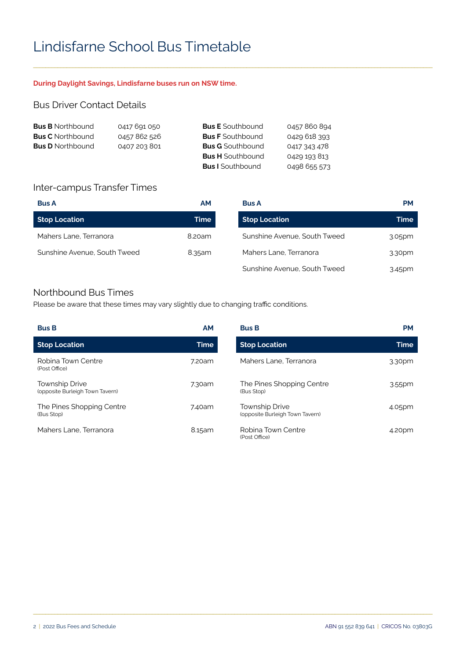# Lindisfarne School Bus Timetable

#### **During Daylight Savings, Lindisfarne buses run on NSW time.**

### Bus Driver Contact Details

| <b>Bus B</b> Northbound | 0417 691 050 | <b>Bus E</b> Southbound | 0457860894   |
|-------------------------|--------------|-------------------------|--------------|
| <b>Bus C</b> Northbound | 0457 862 526 | <b>Bus F</b> Southbound | 0429 618 393 |
| <b>Bus D</b> Northbound | 0407 203 801 | <b>Bus G</b> Southbound | 0417 343 478 |
|                         |              | <b>Bus H</b> Southbound | 0429 193 813 |
|                         |              | <b>Bus I</b> Southbound | 0498 655 573 |

## Inter-campus Transfer Times

| <b>Bus A</b>                 | <b>AM</b> | <b>Bus A</b>                 | <b>PM</b> |
|------------------------------|-----------|------------------------------|-----------|
| Stop Location                | Time      | <b>Stop Location</b>         | Time      |
| Mahers Lane, Terranora       | 8.20am    | Sunshine Avenue, South Tweed | 3.05pm    |
| Sunshine Avenue, South Tweed | 8.35am    | Mahers Lane, Terranora       | 3.30pm    |
|                              |           | Sunshine Avenue, South Tweed | 3.45pm    |

\_\_\_\_\_\_\_\_\_\_\_\_\_\_\_\_\_\_\_\_\_\_\_\_\_\_\_\_\_\_\_\_\_\_\_\_\_\_\_\_\_\_\_\_\_\_\_\_\_\_\_\_\_\_\_\_\_\_\_\_\_\_\_\_\_\_\_\_\_\_\_\_\_\_\_\_\_\_\_\_\_\_\_\_\_\_\_\_\_\_\_\_\_\_\_\_\_\_\_\_\_\_\_\_\_\_\_\_\_\_\_\_\_\_\_\_\_\_\_\_\_\_\_\_\_\_\_\_\_\_\_

### Northbound Bus Times

Please be aware that these times may vary slightly due to changing traffic conditions.

| <b>Bus B</b>                                             | <b>AM</b>   | <b>Bus B</b>                                             | <b>PM</b> |
|----------------------------------------------------------|-------------|----------------------------------------------------------|-----------|
| <b>Stop Location</b>                                     | <b>Time</b> | <b>Stop Location</b>                                     | Time      |
| Robina Town Centre<br>(Post Office)                      | 7.20am      | Mahers Lane, Terranora                                   | 3.30pm    |
| <b>Township Drive</b><br>(opposite Burleigh Town Tavern) | 7.30am      | The Pines Shopping Centre<br>(Bus Stop)                  | 3.55pm    |
| The Pines Shopping Centre<br>(Bus Stop)                  | 7.40am      | <b>Township Drive</b><br>(opposite Burleigh Town Tavern) | 4.05pm    |
| Mahers Lane, Terranora                                   | 8.15am      | Robina Town Centre<br>(Post Office)                      | 4.20pm    |

\_\_\_\_\_\_\_\_\_\_\_\_\_\_\_\_\_\_\_\_\_\_\_\_\_\_\_\_\_\_\_\_\_\_\_\_\_\_\_\_\_\_\_\_\_\_\_\_\_\_\_\_\_\_\_\_\_\_\_\_\_\_\_\_\_\_\_\_\_\_\_\_\_\_\_\_\_\_\_\_\_\_\_\_\_\_\_\_\_\_\_\_\_\_\_\_\_\_\_\_\_\_\_\_\_\_\_\_\_\_\_\_\_\_\_\_\_\_\_\_\_\_\_\_\_\_\_\_\_\_\_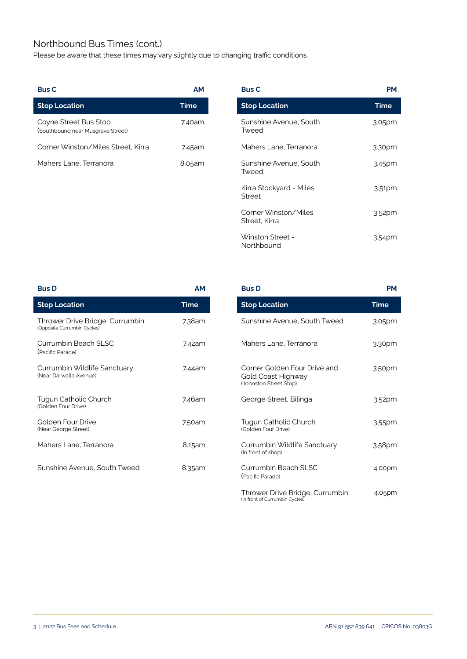## Northbound Bus Times (cont.)

Please be aware that these times may vary slightly due to changing traffic conditions.

| <b>Bus C</b>                                               | АM     | <b>Bus C</b>                    | <b>PM</b> |
|------------------------------------------------------------|--------|---------------------------------|-----------|
| <b>Stop Location</b>                                       | Time   | <b>Stop Location</b>            | Time      |
| Coyne Street Bus Stop<br>(Southbound near Musgrave Street) | 7.40am | Sunshine Avenue, South<br>Tweed | 3.05pm    |
| Corner Winston/Miles Street, Kirra                         | 7.45am | Mahers Lane, Terranora          | 3.30pm    |
| Mahers Lane, Terranora                                     | 8.05am | Sunshine Avenue, South<br>Tweed | 3.45pm    |
|                                                            |        |                                 |           |

| АM     | <b>Bus C</b>                             | <b>PM</b>          |
|--------|------------------------------------------|--------------------|
| Time   | <b>Stop Location</b>                     | <b>Time</b>        |
| 7.40am | Sunshine Avenue, South<br>Tweed          | 3.05pm             |
| 7.45am | Mahers Lane, Terranora                   | 3.30pm             |
| 8.05am | Sunshine Avenue, South<br>Tweed          | 3.45pm             |
|        | Kirra Stockyard - Miles<br><b>Street</b> | 3.51 <sub>pm</sub> |
|        | Corner Winston/Miles<br>Street, Kirra    | 3.52 <sub>pm</sub> |
|        | Winston Street -<br>Northbound           | 3.54pm             |

| <b>Bus D</b>                                                   | <b>AM</b> | <b>Bus D</b>                                                                 | <b>PM</b>   |
|----------------------------------------------------------------|-----------|------------------------------------------------------------------------------|-------------|
| <b>Stop Location</b>                                           | Time      | <b>Stop Location</b>                                                         | <b>Time</b> |
| Thrower Drive Bridge, Currumbin<br>(Opposite Currumbin Cycles) | 7.38am    | Sunshine Avenue, South Tweed                                                 | 3.05pm      |
| Currumbin Beach SLSC<br>(Pacific Parade)                       | 7.42am    | Mahers Lane, Terranora                                                       | 3.30pm      |
| Currumbin Wildlife Sanctuary<br>(Near Darwalla Avenue)         | 7.44am    | Corner Golden Four Drive and<br>Gold Coast Highway<br>(Johnston Street Stop) | 3.50pm      |
| Tugun Catholic Church<br>(Golden Four Drive)                   | 7.46am    | George Street, Bilinga                                                       | 3.52pm      |
| Golden Four Drive<br>(Near George Street)                      | 7.50am    | Tugun Catholic Church<br>(Golden Four Drive)                                 | 3.55pm      |
| Mahers Lane, Terranora                                         | 8.15am    | Currumbin Wildlife Sanctuary<br>(in front of shop)                           | 3.58pm      |
| Sunshine Avenue, South Tweed                                   | 8.35am    | Currumbin Beach SLSC<br>(Pacific Parade)                                     | 4.00pm      |

| <u>Time</u> | <b>Stop Location</b>                                                         | <b>Time</b>        |
|-------------|------------------------------------------------------------------------------|--------------------|
| 7.38am      | Sunshine Avenue, South Tweed                                                 | 3.05pm             |
| 7.42am      | Mahers Lane, Terranora                                                       | 3.30 <sub>pm</sub> |
| 7.44 am     | Corner Golden Four Drive and<br>Gold Coast Highway<br>(Johnston Street Stop) | 3.50pm             |
| 7.46am      | George Street, Bilinga                                                       | 3.52pm             |
| 7.50am      | Tugun Catholic Church<br>(Golden Four Drive)                                 | 3.55pm             |
| 8.15am      | Currumbin Wildlife Sanctuary<br>(in front of shop)                           | 3.58pm             |
| 8.35am      | Currumbin Beach SLSC<br>(Pacific Parade)                                     | 4.00pm             |
|             | Thrower Drive Bridge, Currumbin<br>(in front of Currumbin Cycles)            | 4.05pm             |

\_\_\_\_\_\_\_\_\_\_\_\_\_\_\_\_\_\_\_\_\_\_\_\_\_\_\_\_\_\_\_\_\_\_\_\_\_\_\_\_\_\_\_\_\_\_\_\_\_\_\_\_\_\_\_\_\_\_\_\_\_\_\_\_\_\_\_\_\_\_\_\_\_\_\_\_\_\_\_\_\_\_\_\_\_\_\_\_\_\_\_\_\_\_\_\_\_\_\_\_\_\_\_\_\_\_\_\_\_\_\_\_\_\_\_\_\_\_\_\_\_\_\_\_\_\_\_\_\_\_\_